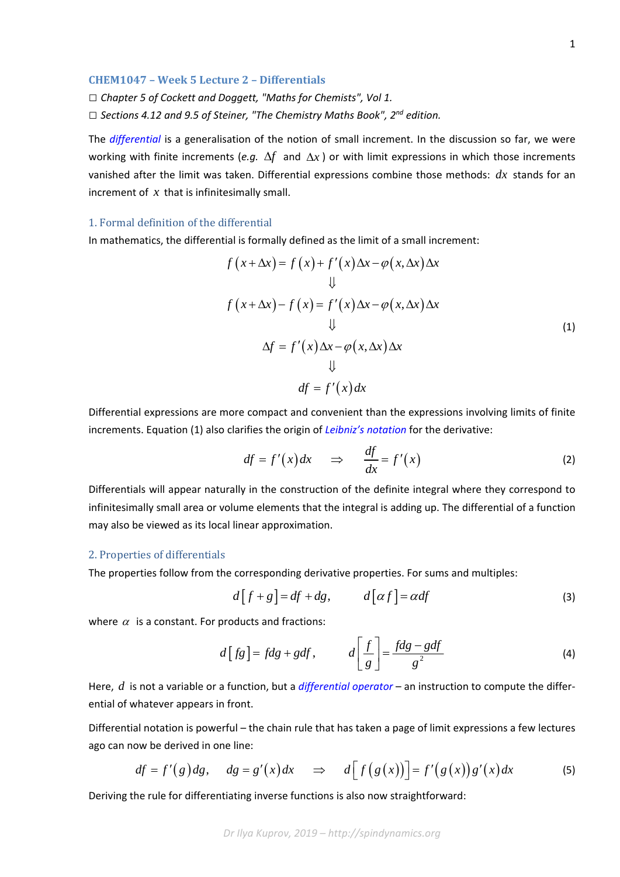1

## **CHEM1047 – Week 5 Lecture 2 – Differentials**

*□ Chapter 5 of Cockett and Doggett, "Maths for Chemists", Vol 1.*

*□ Sections 4.12 and 9.5 of Steiner, "The Chemistry Maths Book", 2nd edition.*

The *differential* is a generalisation of the notion of small increment. In the discussion so far, we were working with finite increments (*e.g.*  $\Delta f$  and  $\Delta x$ ) or with limit expressions in which those increments vanished after the limit was taken. Differential expressions combine those methods: *dx* stands for an increment of *x* that is infinitesimally small.

## 1. Formal definition of the differential

In mathematics, the differential is formally defined as the limit of a small increment:

$$
f(x + \Delta x) = f(x) + f'(x) \Delta x - \varphi(x, \Delta x) \Delta x
$$
  

$$
\downarrow \qquad \qquad \downarrow
$$
  

$$
f(x + \Delta x) - f(x) = f'(x) \Delta x - \varphi(x, \Delta x) \Delta x
$$
  

$$
\downarrow \qquad \qquad \downarrow
$$
  

$$
\Delta f = f'(x) \Delta x - \varphi(x, \Delta x) \Delta x
$$
  

$$
\downarrow \qquad \qquad \downarrow
$$
  

$$
df = f'(x) dx
$$
  
(1)

Differential expressions are more compact and convenient than the expressions involving limits of finite increments. Equation (1) also clarifies the origin of *Leibniz's notation* for the derivative:

$$
df = f'(x)dx \quad \Rightarrow \quad \frac{df}{dx} = f'(x) \tag{2}
$$

Differentials will appear naturally in the construction of the definite integral where they correspond to infinitesimally small area or volume elements that the integral is adding up. The differential of a function may also be viewed as its local linear approximation.

## 2. Properties of differentials

The properties follow from the corresponding derivative properties. For sums and multiples:

$$
d[f+g] = df + dg, \qquad d[\alpha f] = \alpha df \tag{3}
$$

where  $\alpha$  is a constant. For products and fractions:

$$
d[fg] = fdg + gdf, \qquad d\left[\frac{f}{g}\right] = \frac{fdg - gdf}{g^2} \tag{4}
$$

Here, *d* is not a variable or a function, but a *differential operator* – an instruction to compute the differ‐ ential of whatever appears in front.

Differential notation is powerful – the chain rule that has taken a page of limit expressions a few lectures ago can now be derived in one line:

$$
df = f'(g) dg, \quad dg = g'(x) dx \quad \Rightarrow \quad d[f(g(x))] = f'(g(x))g'(x) dx \tag{5}
$$

Deriving the rule for differentiating inverse functions is also now straightforward: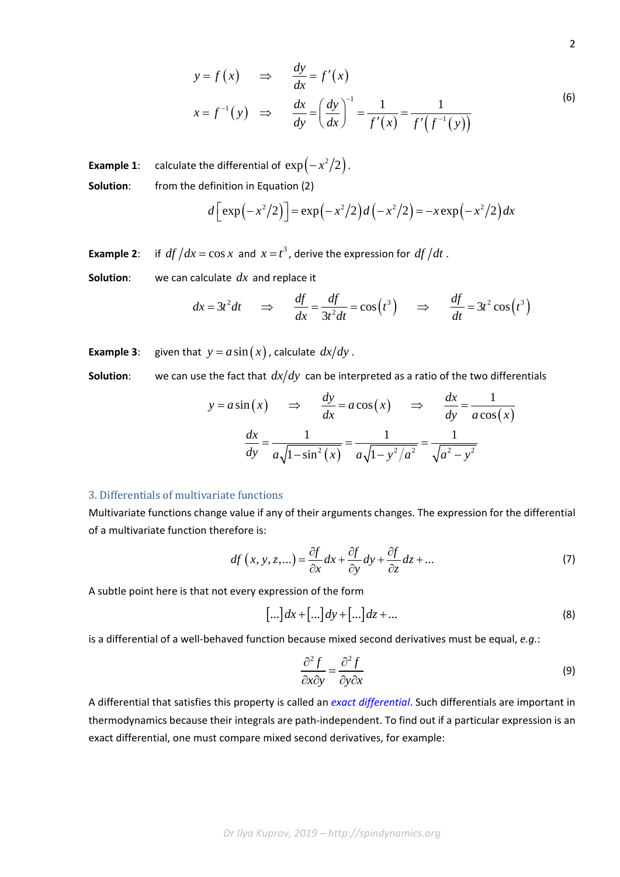$$
y = f(x) \Rightarrow \frac{dy}{dx} = f'(x)
$$
  

$$
x = f^{-1}(y) \Rightarrow \frac{dx}{dy} = \left(\frac{dy}{dx}\right)^{-1} = \frac{1}{f'(x)} = \frac{1}{f'(f^{-1}(y))}
$$
(6)

2

**Example 1**: calculate the differential of  $\exp(-x^2/2)$ . **Solution:** from the definition in Equation (2)

$$
d\left[\exp(-x^2/2)\right] = \exp(-x^2/2)d(-x^2/2) = -x\exp(-x^2/2)dx
$$

**Example 2**: if  $df/dx = \cos x$  and  $x = t^3$ , derive the expression for  $df/dt$ .

**Solution**: we can calculate *dx* and replace it

$$
dx = 3t^2 dt
$$
  $\Rightarrow$   $\frac{df}{dx} = \frac{df}{3t^2 dt} = \cos(t^3)$   $\Rightarrow$   $\frac{df}{dt} = 3t^2 \cos(t^3)$ 

**Example 3**: given that  $y = a \sin(x)$ , calculate  $dx/dy$ .

**Solution:** we can use the fact that  $dx/dy$  can be interpreted as a ratio of the two differentials

$$
y = a \sin(x) \implies \frac{dy}{dx} = a \cos(x) \implies \frac{dx}{dy} = \frac{1}{a \cos(x)}
$$

$$
\frac{dx}{dy} = \frac{1}{a\sqrt{1 - \sin^2(x)}} = \frac{1}{a\sqrt{1 - y^2/a^2}} = \frac{1}{\sqrt{a^2 - y^2}}
$$

## 3. Differentials of multivariate functions

Multivariate functions change value if any of their arguments changes. The expression for the differential of a multivariate function therefore is:

$$
df(x, y, z,...) = \frac{\partial f}{\partial x} dx + \frac{\partial f}{\partial y} dy + \frac{\partial f}{\partial z} dz + ...
$$
 (7)

A subtle point here is that not every expression of the form

$$
[\ldots]dx + [\ldots]dy + [\ldots]dz + \ldots \tag{8}
$$

is a differential of a well‐behaved function because mixed second derivatives must be equal, *e.g.*:

$$
\frac{\partial^2 f}{\partial x \partial y} = \frac{\partial^2 f}{\partial y \partial x}
$$
 (9)

A differential that satisfies this property is called an *exact differential*. Such differentials are important in thermodynamics because their integrals are path‐independent. To find out if a particular expression is an exact differential, one must compare mixed second derivatives, for example: